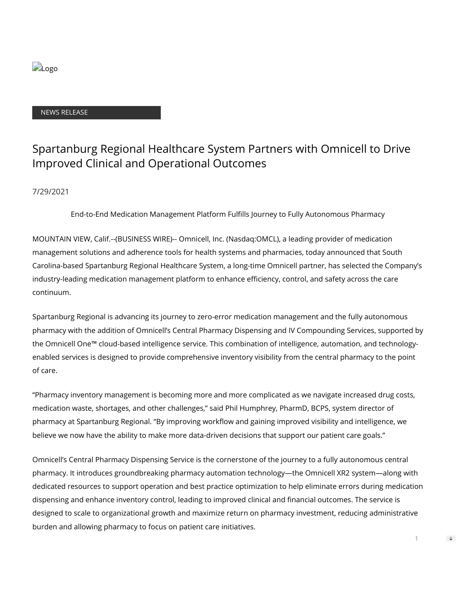

### NEWS RELEASE

# Spartanburg Regional Healthcare System Partners with Omnicell to Drive Improved Clinical and Operational Outcomes

# 7/29/2021

End-to-End Medication Management Platform Fullls Journey to Fully Autonomous Pharmacy

MOUNTAIN VIEW, Calif.--(BUSINESS WIRE)-- Omnicell, Inc. (Nasdaq:OMCL), a leading provider of medication management solutions and adherence tools for health systems and pharmacies, today announced that South Carolina-based Spartanburg Regional Healthcare System, a long-time Omnicell partner, has selected the Company's industry-leading medication management platform to enhance efficiency, control, and safety across the care continuum.

Spartanburg Regional is advancing its journey to zero-error medication management and the fully autonomous pharmacy with the addition of Omnicell's Central Pharmacy Dispensing and IV Compounding Services, supported by the Omnicell One™ cloud-based intelligence service. This combination of intelligence, automation, and technologyenabled services is designed to provide comprehensive inventory visibility from the central pharmacy to the point of care.

"Pharmacy inventory management is becoming more and more complicated as we navigate increased drug costs, medication waste, shortages, and other challenges," said Phil Humphrey, PharmD, BCPS, system director of pharmacy at Spartanburg Regional. "By improving workflow and gaining improved visibility and intelligence, we believe we now have the ability to make more data-driven decisions that support our patient care goals."

Omnicell's Central Pharmacy Dispensing Service is the cornerstone of the journey to a fully autonomous central pharmacy. It introduces groundbreaking pharmacy automation technology—the Omnicell XR2 system—along with dedicated resources to support operation and best practice optimization to help eliminate errors during medication dispensing and enhance inventory control, leading to improved clinical and financial outcomes. The service is designed to scale to organizational growth and maximize return on pharmacy investment, reducing administrative burden and allowing pharmacy to focus on patient care initiatives.

1

 $\Rightarrow$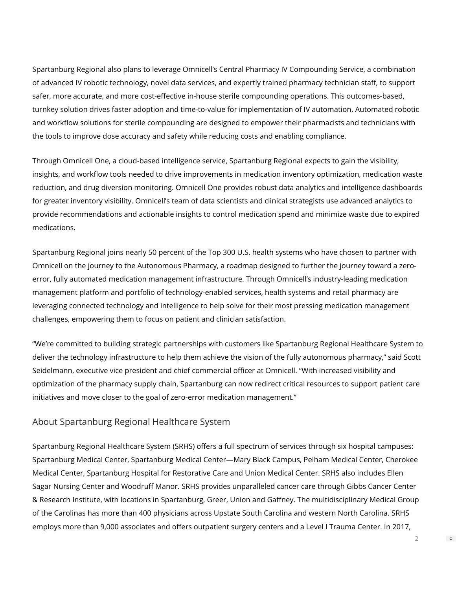Spartanburg Regional also plans to leverage Omnicell's Central Pharmacy IV Compounding Service, a combination of advanced IV robotic technology, novel data services, and expertly trained pharmacy technician staff, to support safer, more accurate, and more cost-effective in-house sterile compounding operations. This outcomes-based, turnkey solution drives faster adoption and time-to-value for implementation of IV automation. Automated robotic and workflow solutions for sterile compounding are designed to empower their pharmacists and technicians with the tools to improve dose accuracy and safety while reducing costs and enabling compliance.

Through Omnicell One, a cloud-based intelligence service, Spartanburg Regional expects to gain the visibility, insights, and workflow tools needed to drive improvements in medication inventory optimization, medication waste reduction, and drug diversion monitoring. Omnicell One provides robust data analytics and intelligence dashboards for greater inventory visibility. Omnicell's team of data scientists and clinical strategists use advanced analytics to provide recommendations and actionable insights to control medication spend and minimize waste due to expired medications.

Spartanburg Regional joins nearly 50 percent of the Top 300 U.S. health systems who have chosen to partner with Omnicell on the journey to the Autonomous Pharmacy, a roadmap designed to further the journey toward a zeroerror, fully automated medication management infrastructure. Through Omnicell's industry-leading medication management platform and portfolio of technology-enabled services, health systems and retail pharmacy are leveraging connected technology and intelligence to help solve for their most pressing medication management challenges, empowering them to focus on patient and clinician satisfaction.

"We're committed to building strategic partnerships with customers like Spartanburg Regional Healthcare System to deliver the technology infrastructure to help them achieve the vision of the fully autonomous pharmacy," said Scott Seidelmann, executive vice president and chief commercial officer at Omnicell. "With increased visibility and optimization of the pharmacy supply chain, Spartanburg can now redirect critical resources to support patient care initiatives and move closer to the goal of zero-error medication management."

# About Spartanburg Regional Healthcare System

Spartanburg Regional Healthcare System (SRHS) offers a full spectrum of services through six hospital campuses: Spartanburg Medical Center, Spartanburg Medical Center—Mary Black Campus, Pelham Medical Center, Cherokee Medical Center, Spartanburg Hospital for Restorative Care and Union Medical Center. SRHS also includes Ellen Sagar Nursing Center and Woodruff Manor. SRHS provides unparalleled cancer care through Gibbs Cancer Center & Research Institute, with locations in Spartanburg, Greer, Union and Gaffney. The multidisciplinary Medical Group of the Carolinas has more than 400 physicians across Upstate South Carolina and western North Carolina. SRHS employs more than 9,000 associates and offers outpatient surgery centers and a Level I Trauma Center. In 2017,

 $\Rightarrow$ 

2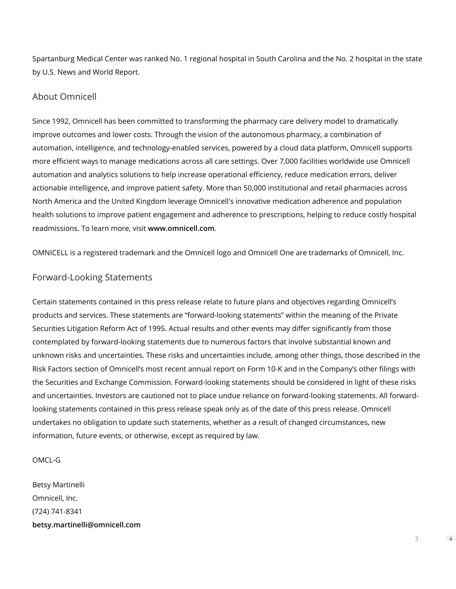Spartanburg Medical Center was ranked No. 1 regional hospital in South Carolina and the No. 2 hospital in the state by U.S. News and World Report.

## About Omnicell

Since 1992, Omnicell has been committed to transforming the pharmacy care delivery model to dramatically improve outcomes and lower costs. Through the vision of the autonomous pharmacy, a combination of automation, intelligence, and technology-enabled services, powered by a cloud data platform, Omnicell supports more efficient ways to manage medications across all care settings. Over 7,000 facilities worldwide use Omnicell automation and analytics solutions to help increase operational efficiency, reduce medication errors, deliver actionable intelligence, and improve patient safety. More than 50,000 institutional and retail pharmacies across North America and the United Kingdom leverage Omnicell's innovative medication adherence and population health solutions to improve patient engagement and adherence to prescriptions, helping to reduce costly hospital readmissions. To learn more, visit **[www.omnicell.com](https://cts.businesswire.com/ct/CT?id=smartlink&url=http%3A%2F%2Fwww.omnicell.com&esheet=52468100&newsitemid=20210729005316&lan=en-US&anchor=www.omnicell.com&index=1&md5=e8afe42bcef9e0d52526f0f922e8d4d4)**.

OMNICELL is a registered trademark and the Omnicell logo and Omnicell One are trademarks of Omnicell, Inc.

# Forward-Looking Statements

Certain statements contained in this press release relate to future plans and objectives regarding Omnicell's products and services. These statements are "forward-looking statements" within the meaning of the Private Securities Litigation Reform Act of 1995. Actual results and other events may differ significantly from those contemplated by forward-looking statements due to numerous factors that involve substantial known and unknown risks and uncertainties. These risks and uncertainties include, among other things, those described in the Risk Factors section of Omnicell's most recent annual report on Form 10-K and in the Company's other filings with the Securities and Exchange Commission. Forward-looking statements should be considered in light of these risks and uncertainties. Investors are cautioned not to place undue reliance on forward-looking statements. All forwardlooking statements contained in this press release speak only as of the date of this press release. Omnicell undertakes no obligation to update such statements, whether as a result of changed circumstances, new information, future events, or otherwise, except as required by law.

#### OMCL-G

Betsy Martinelli Omnicell, Inc. (724) 741-8341 **[betsy.martinelli@omnicell.com](mailto:betsy.martinelli@omnicell.com)**

 $\Rightarrow$ 

3